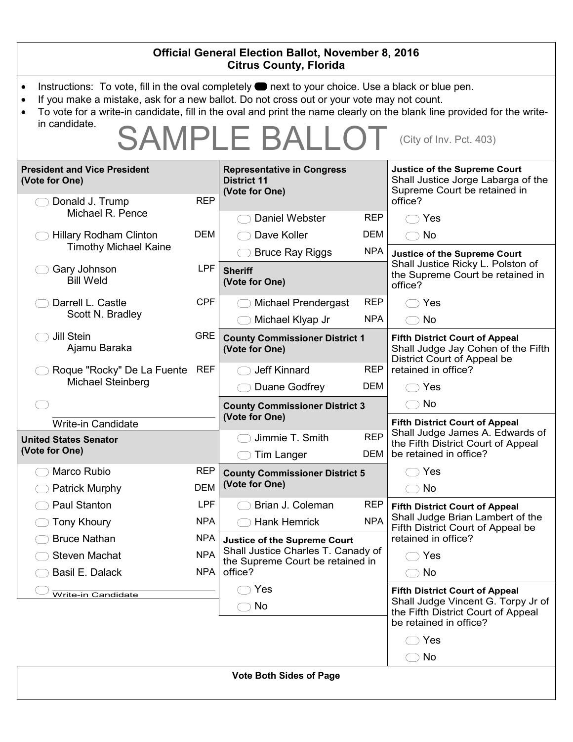| <b>Official General Election Ballot, November 8, 2016</b><br><b>Citrus County, Florida</b>                                                                                                                                                                                                                                                                                                                                       |                                        |                                                                                                                          |                                                                                                                                             |  |
|----------------------------------------------------------------------------------------------------------------------------------------------------------------------------------------------------------------------------------------------------------------------------------------------------------------------------------------------------------------------------------------------------------------------------------|----------------------------------------|--------------------------------------------------------------------------------------------------------------------------|---------------------------------------------------------------------------------------------------------------------------------------------|--|
| Instructions: To vote, fill in the oval completely <b>or</b> next to your choice. Use a black or blue pen.<br>$\bullet$<br>If you make a mistake, ask for a new ballot. Do not cross out or your vote may not count.<br>$\bullet$<br>To vote for a write-in candidate, fill in the oval and print the name clearly on the blank line provided for the write-<br>in candidate.<br><b>SAMPLE BALLOT</b><br>(City of Inv. Pct. 403) |                                        |                                                                                                                          |                                                                                                                                             |  |
| <b>President and Vice President</b><br>(Vote for One)                                                                                                                                                                                                                                                                                                                                                                            |                                        | <b>Representative in Congress</b><br><b>District 11</b><br>(Vote for One)                                                | Justice of the Supreme Court<br>Shall Justice Jorge Labarga of the<br>Supreme Court be retained in                                          |  |
| Donald J. Trump<br>Michael R. Pence<br><b>Hillary Rodham Clinton</b>                                                                                                                                                                                                                                                                                                                                                             | <b>REP</b><br><b>DEM</b>               | <b>REP</b><br>Daniel Webster<br>Dave Koller<br>DEM                                                                       | office?<br>Yes<br>No<br>(                                                                                                                   |  |
| <b>Timothy Michael Kaine</b><br>Gary Johnson<br><b>Bill Weld</b>                                                                                                                                                                                                                                                                                                                                                                 | <b>LPF</b>                             | <b>NPA</b><br><b>Bruce Ray Riggs</b><br><b>Sheriff</b><br>(Vote for One)                                                 | <b>Justice of the Supreme Court</b><br>Shall Justice Ricky L. Polston of<br>the Supreme Court be retained in<br>office?                     |  |
| Darrell L. Castle<br>Scott N. Bradley                                                                                                                                                                                                                                                                                                                                                                                            | <b>CPF</b>                             | <b>REP</b><br><b>Michael Prendergast</b><br><b>NPA</b><br>Michael Klyap Jr                                               | Yes<br>No<br>$($ $)$                                                                                                                        |  |
| <b>Jill Stein</b><br>Ajamu Baraka                                                                                                                                                                                                                                                                                                                                                                                                | <b>GRE</b>                             | <b>County Commissioner District 1</b><br>(Vote for One)                                                                  | <b>Fifth District Court of Appeal</b><br>Shall Judge Jay Cohen of the Fifth<br>District Court of Appeal be                                  |  |
| Roque "Rocky" De La Fuente<br>Michael Steinberg                                                                                                                                                                                                                                                                                                                                                                                  | REF                                    | <b>REP</b><br>Jeff Kinnard<br>Duane Godfrey<br><b>DEM</b>                                                                | retained in office?<br>Yes                                                                                                                  |  |
|                                                                                                                                                                                                                                                                                                                                                                                                                                  |                                        | <b>County Commissioner District 3</b><br>(Vote for One)                                                                  | No<br>(                                                                                                                                     |  |
| <b>Write-in Candidate</b><br><b>United States Senator</b><br>(Vote for One)                                                                                                                                                                                                                                                                                                                                                      |                                        | <b>REP</b><br>Jimmie T. Smith<br>DEM<br><b>Tim Langer</b>                                                                | <b>Fifth District Court of Appeal</b><br>Shall Judge James A. Edwards of<br>the Fifth District Court of Appeal<br>be retained in office?    |  |
| Marco Rubio<br><b>Patrick Murphy</b>                                                                                                                                                                                                                                                                                                                                                                                             | <b>REP</b><br><b>DEM</b>               | <b>County Commissioner District 5</b><br>(Vote for One)                                                                  | Yes<br>No                                                                                                                                   |  |
| <b>Paul Stanton</b><br><b>Tony Khoury</b>                                                                                                                                                                                                                                                                                                                                                                                        | LPF<br><b>NPA</b>                      | <b>REP</b><br>Brian J. Coleman<br><b>NPA</b><br>Hank Hemrick                                                             | <b>Fifth District Court of Appeal</b><br>Shall Judge Brian Lambert of the<br>Fifth District Court of Appeal be                              |  |
| <b>Bruce Nathan</b><br><b>Steven Machat</b><br>Basil E. Dalack                                                                                                                                                                                                                                                                                                                                                                   | <b>NPA</b><br><b>NPA</b><br><b>NPA</b> | <b>Justice of the Supreme Court</b><br>Shall Justice Charles T. Canady of<br>the Supreme Court be retained in<br>office? | retained in office?<br>Yes<br>No                                                                                                            |  |
| Write-in Candidate                                                                                                                                                                                                                                                                                                                                                                                                               |                                        | Yes<br>No                                                                                                                | <b>Fifth District Court of Appeal</b><br>Shall Judge Vincent G. Torpy Jr of<br>the Fifth District Court of Appeal<br>be retained in office? |  |
|                                                                                                                                                                                                                                                                                                                                                                                                                                  |                                        |                                                                                                                          | Yes<br>No                                                                                                                                   |  |
| <b>Vote Both Sides of Page</b>                                                                                                                                                                                                                                                                                                                                                                                                   |                                        |                                                                                                                          |                                                                                                                                             |  |